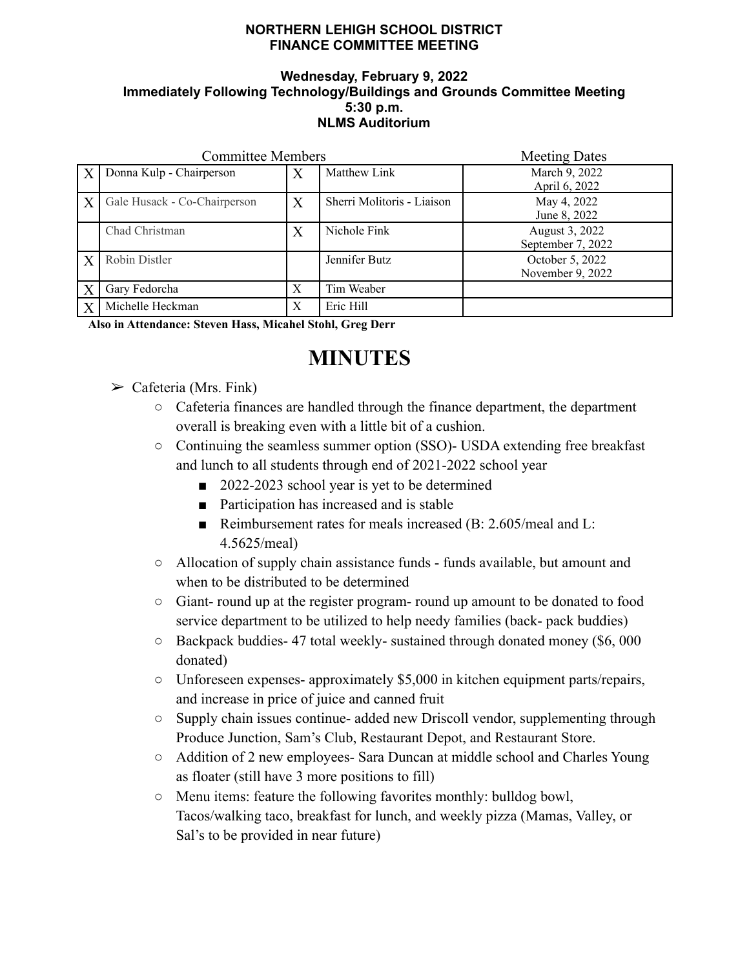## **NORTHERN LEHIGH SCHOOL DISTRICT FINANCE COMMITTEE MEETING**

## **Wednesday, February 9, 2022 Immediately Following Technology/Buildings and Grounds Committee Meeting 5:30 p.m. NLMS Auditorium**

| <b>Committee Members</b> |                              |   |                            | <b>Meeting Dates</b>                |
|--------------------------|------------------------------|---|----------------------------|-------------------------------------|
| $\boldsymbol{X}$         | Donna Kulp - Chairperson     | Х | Matthew Link               | March 9, 2022<br>April 6, 2022      |
| X                        | Gale Husack - Co-Chairperson | Χ | Sherri Molitoris - Liaison | May 4, 2022<br>June 8, 2022         |
|                          | Chad Christman               | X | Nichole Fink               | August 3, 2022<br>September 7, 2022 |
| X                        | Robin Distler                |   | Jennifer Butz              | October 5, 2022<br>November 9, 2022 |
| $\boldsymbol{X}$         | Gary Fedorcha                | Х | Tim Weaber                 |                                     |
| X                        | Michelle Heckman             | X | Eric Hill                  |                                     |

**Also in Attendance: Steven Hass, Micahel Stohl, Greg Derr**

## **MINUTES**

- $\triangleright$  Cafeteria (Mrs. Fink)
	- Cafeteria finances are handled through the finance department, the department overall is breaking even with a little bit of a cushion.
	- Continuing the seamless summer option (SSO)- USDA extending free breakfast and lunch to all students through end of 2021-2022 school year
		- 2022-2023 school year is yet to be determined
		- Participation has increased and is stable
		- Reimbursement rates for meals increased (B: 2.605/meal and L: 4.5625/meal)
	- Allocation of supply chain assistance funds funds available, but amount and when to be distributed to be determined
	- Giant- round up at the register program- round up amount to be donated to food service department to be utilized to help needy families (back- pack buddies)
	- Backpack buddies- 47 total weekly- sustained through donated money (\$6, 000 donated)
	- Unforeseen expenses- approximately \$5,000 in kitchen equipment parts/repairs, and increase in price of juice and canned fruit
	- Supply chain issues continue- added new Driscoll vendor, supplementing through Produce Junction, Sam's Club, Restaurant Depot, and Restaurant Store.
	- Addition of 2 new employees- Sara Duncan at middle school and Charles Young as floater (still have 3 more positions to fill)
	- Menu items: feature the following favorites monthly: bulldog bowl, Tacos/walking taco, breakfast for lunch, and weekly pizza (Mamas, Valley, or Sal's to be provided in near future)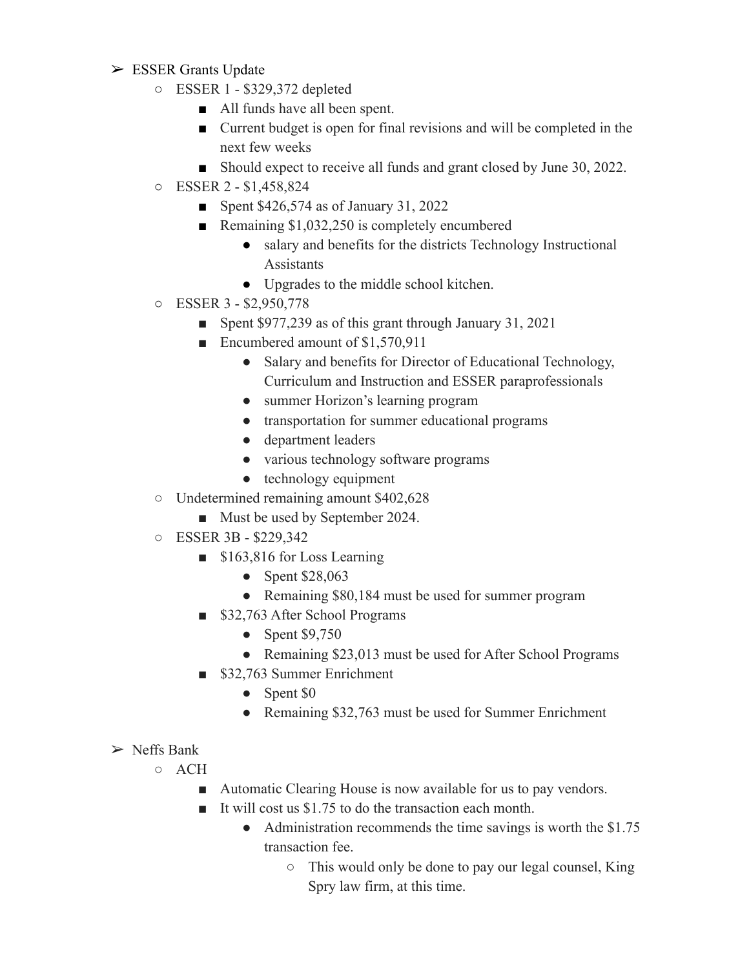- ➢ ESSER Grants Update
	- ESSER 1 \$329,372 depleted
		- All funds have all been spent.
		- Current budget is open for final revisions and will be completed in the next few weeks
		- Should expect to receive all funds and grant closed by June 30, 2022.
	- ESSER 2 \$1,458,824
		- Spent \$426,574 as of January 31, 2022
		- Remaining \$1,032,250 is completely encumbered
			- salary and benefits for the districts Technology Instructional Assistants
			- Upgrades to the middle school kitchen.
	- ESSER 3 \$2,950,778
		- Spent \$977,239 as of this grant through January 31, 2021
		- Encumbered amount of \$1,570,911
			- Salary and benefits for Director of Educational Technology, Curriculum and Instruction and ESSER paraprofessionals
			- summer Horizon's learning program
			- transportation for summer educational programs
			- department leaders
			- various technology software programs
			- $\bullet$  technology equipment
	- Undetermined remaining amount \$402,628
		- Must be used by September 2024.
	- ESSER 3B \$229,342
		- \$163,816 for Loss Learning
			- Spent \$28,063
			- Remaining \$80,184 must be used for summer program
		- \$32,763 After School Programs
			- Spent \$9,750
			- Remaining \$23,013 must be used for After School Programs
		- \$32,763 Summer Enrichment
			- Spent \$0
			- Remaining \$32,763 must be used for Summer Enrichment
- $\triangleright$  Neffs Bank
	- ACH
		- Automatic Clearing House is now available for us to pay vendors.
		- It will cost us \$1.75 to do the transaction each month.
			- Administration recommends the time savings is worth the \$1.75 transaction fee.
				- This would only be done to pay our legal counsel, King Spry law firm, at this time.